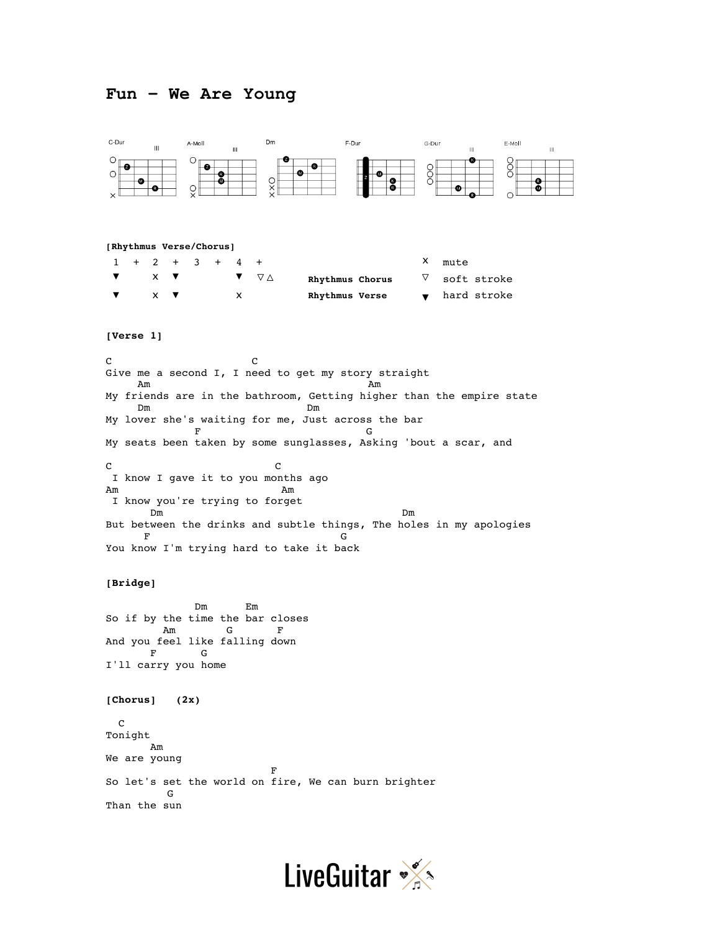## **Fun – We Are Young**



```
[Rhythmus Verse/Chorus]
```

|  |                               | $1 + 2 + 3 + 4 +$ |  |   |                | X mute                                         |
|--|-------------------------------|-------------------|--|---|----------------|------------------------------------------------|
|  |                               | $\times$ $\times$ |  |   | $\blacksquare$ | $\nabla$ soft stroke<br>Rhythmus Chorus        |
|  | $\times$ $\blacktriangledown$ |                   |  | x |                | $\bullet$ hard stroke<br><b>Rhythmus Verse</b> |

## **[Verse 1]**

C C Give me a second I, I need to get my story straight Am Am My friends are in the bathroom, Getting higher than the empire state Dm Dm My lover she's waiting for me, Just across the bar F G My seats been taken by some sunglasses, Asking 'bout a scar, and C<sub>c</sub> contract contract contract contract contract contract contract contract contract contract contract contract contract contract contract contract contract contract contract contract contract contract contract contract c I know I gave it to you months ago Am Am I know you're trying to forget Dm Dm But between the drinks and subtle things, The holes in my apologies F G You know I'm trying hard to take it back

## **[Bridge]**

 Dm Em So if by the time the bar closes Am G F And you feel like falling down F G I'll carry you home

**[Chorus] (2x)**

 C Tonight Am We are young Fig. 2. The contract of the contract of the contract of the contract of the contract of the contract of the contract of the contract of the contract of the contract of the contract of the contract of the contract of the co So let's set the world on fire, We can burn brighter G Than the sun